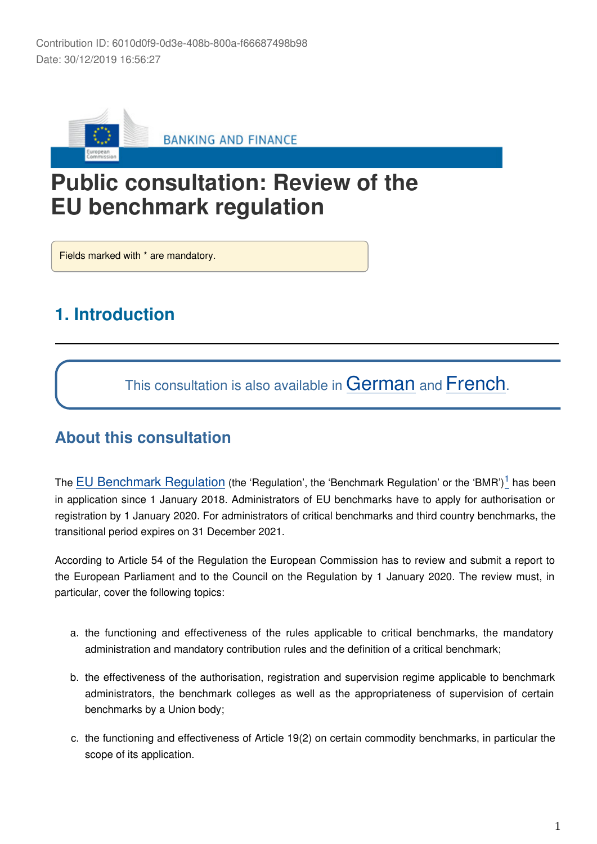

# **Public consultation: Review of the EU benchmark regulation**

Fields marked with \* are mandatory.

# **1. Introduction**

This consultation is also available in [German](https://ec.europa.eu/eusurvey/runner/finance-2019-benchmark-review?surveylanguage=de) and [French](https://ec.europa.eu/eusurvey/runner/finance-2019-benchmark-review?surveylanguage=fr).

### **About this consultation**

The [EU Benchmark Regulation](https://ec.europa.eu/info/law/benchmarks-regulation-eu-2016-1011_en) (the 'Regulation', the 'Benchmark Regulation' or the 'BMR')<sup>1</sup> has been in application since 1 January 2018. Administrators of EU benchmarks have to apply for authorisation or registration by 1 January 2020. For administrators of critical benchmarks and third country benchmarks, the transitional period expires on 31 December 2021.

According to Article 54 of the Regulation the European Commission has to review and submit a report to the European Parliament and to the Council on the Regulation by 1 January 2020. The review must, in particular, cover the following topics:

- a. the functioning and effectiveness of the rules applicable to critical benchmarks, the mandatory administration and mandatory contribution rules and the definition of a critical benchmark;
- b. the effectiveness of the authorisation, registration and supervision regime applicable to benchmark administrators, the benchmark colleges as well as the appropriateness of supervision of certain benchmarks by a Union body;
- c. the functioning and effectiveness of Article 19(2) on certain commodity benchmarks, in particular the scope of its application.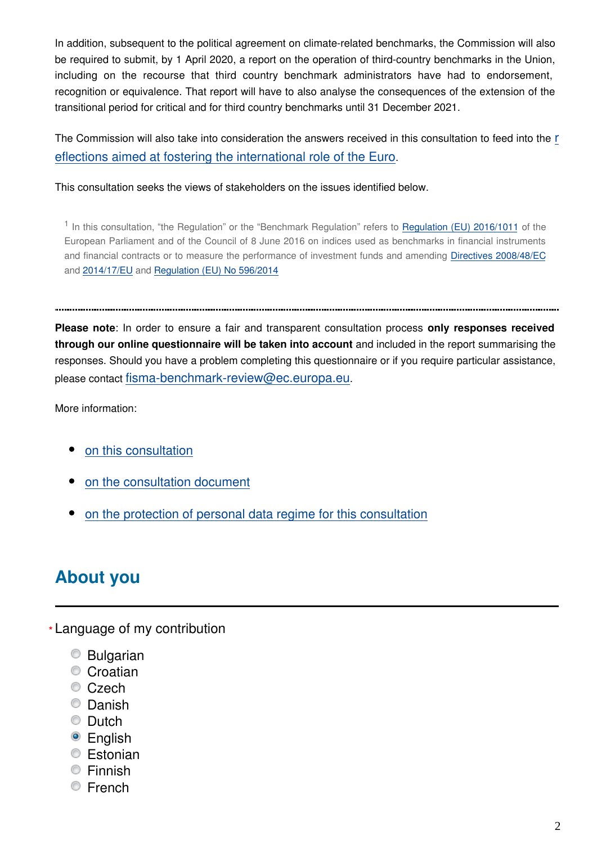In addition, subsequent to the political agreement on climate-related benchmarks, the Commission will also be required to submit, by 1 April 2020, a report on the operation of third-country benchmarks in the Union, including on the recourse that third country benchmark administrators have had to endorsement, recognition or equivalence. That report will have to also analyse the consequences of the extension of the transitional period for critical and for third country benchmarks until 31 December 2021.

The Commission will also take into consideration the answers received in this consultation to feed into the [r](https://ec.europa.eu/commission/publications/towards-stronger-international-role-euro-commission-contribution-european-council-13-14-december-2018_en) [eflections aimed at fostering the international role of the Euro](https://ec.europa.eu/commission/publications/towards-stronger-international-role-euro-commission-contribution-european-council-13-14-december-2018_en).

This consultation seeks the views of stakeholders on the issues identified below.

<span id="page-1-0"></span><sup>1</sup> In this consultation, "the Regulation" or the "Benchmark Regulation" refers to [Regulation \(EU\) 2016/1011](https://eur-lex.europa.eu/legal-content/EN/TXT/?uri=CELEX:32016R1011) of the European Parliament and of the Council of 8 June 2016 on indices used as benchmarks in financial instruments and financial contracts or to measure the performance of investment funds and amending [Directives 2008/48/EC](https://eur-lex.europa.eu/legal-content/EN/TXT/?uri=CELEX:32008L0048) and [2014/17/EU](https://eur-lex.europa.eu/legal-content/EN/TXT/?uri=CELEX:32014L0017) and [Regulation \(EU\) No 596/2014](https://eur-lex.europa.eu/legal-content/EN/TXT/?uri=CELEX:32014R0596)

**Please note**: In order to ensure a fair and transparent consultation process **only responses received through our online questionnaire will be taken into account** and included in the report summarising the responses. Should you have a problem completing this questionnaire or if you require particular assistance, please contact fisma-benchmark-review@ec.europa.eu.

More information:

- [on this consultation](https://ec.europa.eu/info/publications/finance-consultations-2019-benchmark-review_en)
- [on the consultation document](https://ec.europa.eu/info/files/2019-benchmark-review-consultation-document_en)
- [on the protection of personal data regime for this consultation](https://ec.europa.eu/info/law/better-regulation/specific-privacy-statement_en)

# **About you**

Language of my contribution **\***

- Bulgarian
- Croatian
- Czech
- Danish
- C Dutch
- English
- **Estonian**
- **Einnish**
- **Erench**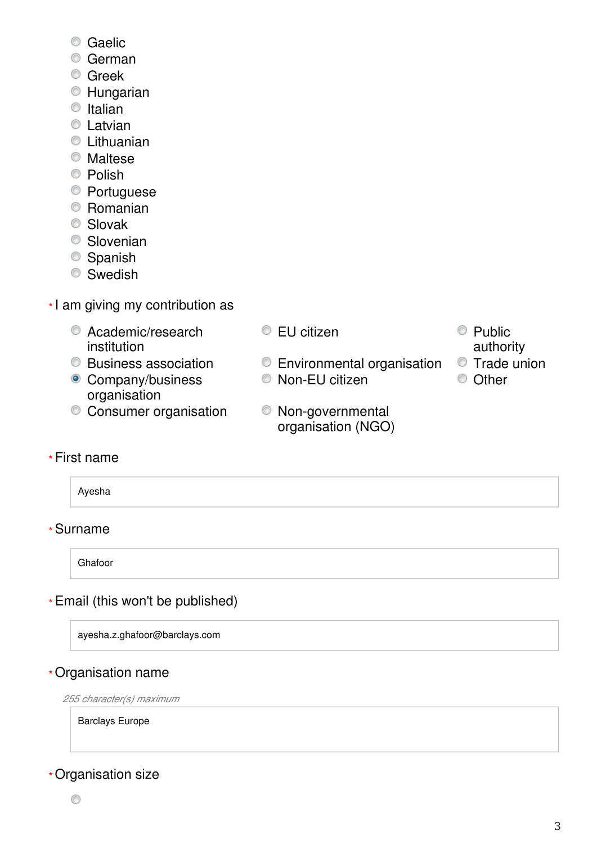- Caelic
- German
- **C** Greek
- Hungarian
- $\bullet$  Italian
- **C** Latvian
- Lithuanian
- Maltese
- <sup>O</sup> Polish
- Portuguese
- Romanian
- Slovak
- **Slovenian**
- Spanish
- **Swedish**
- I am giving my contribution as **\***
	- C Academic/research institution
	-
	- Company/business organisation
	- Consumer organisation Non-governmental
- EU citizen Public
	- Business association Environmental organisation Trade union
		- C Non-EU citizen C Other
			- organisation (NGO)
- authority
- 
- 

### First name **\***

Ayesha

### Surname **\***

Ghafoor

### Email (this won't be published) **\***

ayesha.z.ghafoor@barclays.com

### Organisation name **\***

*255 character(s) maximum*

Barclays Europe

### Organisation size **\***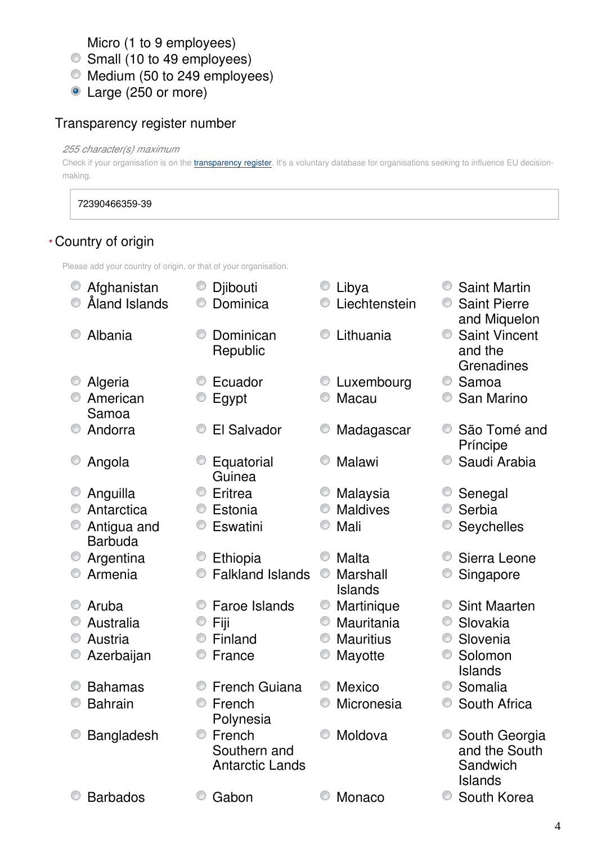Micro (1 to 9 employees)

Small (10 to 49 employees)

- Medium (50 to 249 employees)
- Large (250 or more)

### Transparency register number

#### *255 character(s) maximum*

Check if your organisation is on the *[transparency register](http://ec.europa.eu/transparencyregister/public/homePage.do?redir=false&locale=en)*. It's a voluntary database for organisations seeking to influence EU decisionmaking.

#### 72390466359-39

#### Country of origin **\***

Please add your country of origin, or that of your organisation.

| Afghanistan                   | ⊙ | Djibouti                                         |   | Libya               | 0 | <b>Saint Martin</b>                                          |
|-------------------------------|---|--------------------------------------------------|---|---------------------|---|--------------------------------------------------------------|
| Åland Islands                 |   | Dominica                                         |   | Liechtenstein       |   | <b>Saint Pierre</b><br>and Miquelon                          |
| Albania                       |   | Dominican<br>Republic                            |   | Lithuania           |   | <b>Saint Vincent</b><br>and the<br>Grenadines                |
| Algeria                       |   | Ecuador                                          |   | Luxembourg          | O | Samoa                                                        |
| American<br>Samoa             |   | Egypt                                            |   | Macau               |   | San Marino                                                   |
| Andorra                       |   | El Salvador                                      |   | Madagascar          |   | São Tomé and<br>Príncipe                                     |
| Angola                        |   | Equatorial<br>Guinea                             |   | Malawi              |   | Saudi Arabia                                                 |
| Anguilla                      | O | Eritrea                                          |   | Malaysia            |   | Senegal                                                      |
| Antarctica                    | O | Estonia                                          |   | <b>Maldives</b>     |   | Serbia                                                       |
| Antigua and<br><b>Barbuda</b> |   | Eswatini                                         |   | Mali                |   | Seychelles                                                   |
| Argentina                     |   | Ethiopia                                         |   | Malta               | ⊙ | Sierra Leone                                                 |
| Armenia                       |   | <b>Falkland Islands</b>                          | O | Marshall<br>Islands |   | Singapore                                                    |
| Aruba                         |   | Faroe Islands                                    |   | Martinique          | ◎ | <b>Sint Maarten</b>                                          |
| Australia                     | O | Fiji                                             | 0 | Mauritania          | 0 | Slovakia                                                     |
| Austria                       |   | Finland                                          |   | <b>Mauritius</b>    | O | Slovenia                                                     |
| Azerbaijan                    |   | France                                           |   | Mayotte             |   | Solomon<br><b>Islands</b>                                    |
| <b>Bahamas</b>                |   | <b>French Guiana</b>                             | O | <b>Mexico</b>       | ⊙ | Somalia                                                      |
| <b>Bahrain</b>                |   | French<br>Polynesia                              |   | Micronesia          |   | South Africa                                                 |
| Bangladesh                    | 0 | French<br>Southern and<br><b>Antarctic Lands</b> |   | Moldova             |   | South Georgia<br>and the South<br>Sandwich<br><b>Islands</b> |
| <b>Barbados</b>               |   | Gabon                                            |   | Monaco              | O | South Korea                                                  |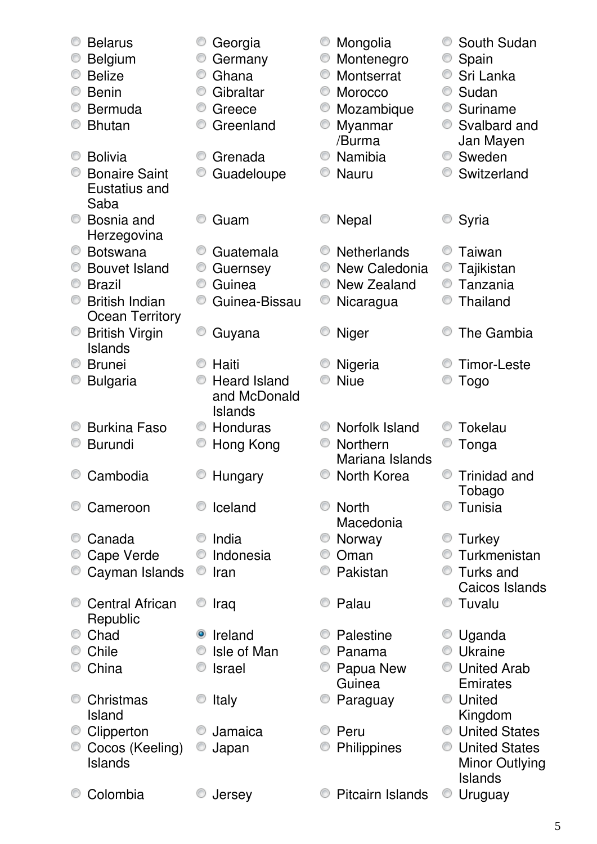| O | <b>Belarus</b>                          |           | Georgia             |   | Mongolia                 |                | South Sudan                             |
|---|-----------------------------------------|-----------|---------------------|---|--------------------------|----------------|-----------------------------------------|
| O | Belgium<br><b>Belize</b>                | O         | Germany<br>Ghana    | O | Montenegro<br>Montserrat | O              | Spain                                   |
|   | <b>Benin</b>                            | O         | Gibraltar           | O | Morocco                  | O              | Sri Lanka<br>Sudan                      |
|   | <b>Bermuda</b>                          | O         | Greece              | O |                          | O              | Suriname                                |
|   | <b>Bhutan</b>                           |           | Greenland           |   | Mozambique<br>Myanmar    |                | Svalbard and                            |
|   |                                         |           |                     |   | /Burma                   |                | Jan Mayen                               |
| O | <b>Bolivia</b>                          | O         | Grenada             | O | Namibia                  | O              | Sweden                                  |
|   | <b>Bonaire Saint</b>                    |           | Guadeloupe          |   | <b>Nauru</b>             |                | Switzerland                             |
|   | Eustatius and                           |           |                     |   |                          |                |                                         |
|   | Saba                                    |           |                     |   |                          |                |                                         |
| O | Bosnia and                              |           | Guam                |   | <b>Nepal</b>             |                | Syria                                   |
|   | Herzegovina                             |           |                     |   |                          |                |                                         |
| O | <b>Botswana</b>                         |           | Guatemala           |   | <b>Netherlands</b>       |                | Taiwan                                  |
| O | <b>Bouvet Island</b>                    |           | Guernsey            | O | New Caledonia            | O              | Tajikistan                              |
| O | <b>Brazil</b>                           | O         | Guinea              | O | New Zealand              |                | Tanzania                                |
| O | <b>British Indian</b>                   | O         | Guinea-Bissau       | O | Nicaragua                |                | Thailand                                |
|   | <b>Ocean Territory</b>                  |           |                     |   |                          |                |                                         |
| O | <b>British Virgin</b><br><b>Islands</b> |           | Guyana              |   | <b>Niger</b>             |                | The Gambia                              |
| O | <b>Brunei</b>                           |           | Haiti               |   | Nigeria                  |                | <b>Timor-Leste</b>                      |
|   | <b>Bulgaria</b>                         |           | <b>Heard Island</b> |   | <b>Niue</b>              |                | <b>Togo</b>                             |
|   |                                         |           | and McDonald        |   |                          |                |                                         |
|   |                                         |           | <b>Islands</b>      |   |                          |                |                                         |
|   | <b>Burkina Faso</b>                     | O         | Honduras            |   | Norfolk Island           |                | <b>Tokelau</b>                          |
|   | <b>Burundi</b>                          |           | Hong Kong           | 0 | Northern                 |                | Tonga                                   |
|   |                                         |           |                     |   | Mariana Islands          |                |                                         |
|   | Cambodia                                |           | Hungary             |   | North Korea              |                | Trinidad and                            |
|   |                                         |           |                     |   |                          |                | Tobago                                  |
|   | Cameroon                                |           | Iceland             |   | <b>North</b>             |                | Tunisia                                 |
| O |                                         |           | India               |   | Macedonia                |                |                                         |
|   | Canada                                  |           |                     |   | Norway<br>Oman           |                | Turkey<br>Turkmenistan                  |
|   | Cape Verde<br>Cayman Islands            | O         | Indonesia<br>Iran   |   | Pakistan                 | $\circledcirc$ | Turks and                               |
|   |                                         |           |                     |   |                          |                | Caicos Islands                          |
|   | <b>Central African</b>                  |           | Iraq                |   | Palau                    |                | C Tuvalu                                |
|   | Republic                                |           |                     |   |                          |                |                                         |
| O | Chad                                    | $\bullet$ | Ireland             |   | Palestine                |                | Uganda                                  |
|   | Chile                                   |           | Isle of Man         |   | Panama                   |                | Ukraine                                 |
|   | China                                   |           | <b>Israel</b>       |   | Papua New                | $\circledcirc$ | <b>United Arab</b>                      |
|   |                                         |           |                     |   | Guinea                   |                | Emirates                                |
|   | Christmas                               |           | Italy               |   | Paraguay                 |                | United                                  |
|   | Island                                  |           |                     |   |                          |                | Kingdom                                 |
| O | Clipperton                              |           | Jamaica             |   | Peru                     | $\circledcirc$ | <b>United States</b>                    |
|   | Cocos (Keeling)<br><b>Islands</b>       |           | Japan               |   | Philippines              |                | <b>United States</b>                    |
|   |                                         |           |                     |   |                          |                | <b>Minor Outlying</b><br><b>Islands</b> |
|   | Colombia                                |           | Jersey              |   | Pitcairn Islands         | O              | Uruguay                                 |
|   |                                         |           |                     |   |                          |                |                                         |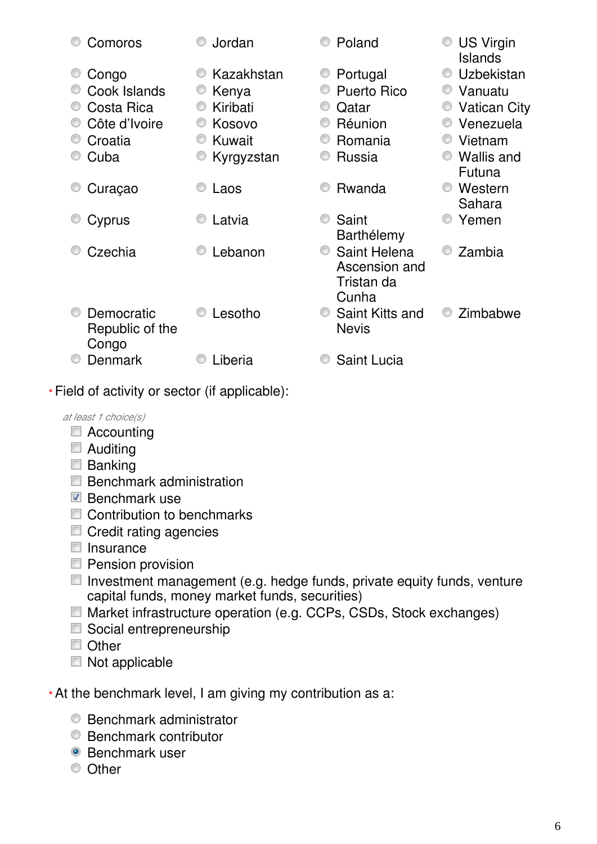| Comoros                                | Jordan     | Poland                                               | <b>US Virgin</b><br>Islands |
|----------------------------------------|------------|------------------------------------------------------|-----------------------------|
| Congo                                  | Kazakhstan | Portugal<br>O                                        | Uzbekistan                  |
| Cook Islands                           | Kenya      | <b>Puerto Rico</b>                                   | Vanuatu                     |
| Costa Rica                             | Kiribati   | Qatar                                                | <b>Vatican City</b>         |
| Côte d'Ivoire                          | Kosovo     | Réunion                                              | Venezuela                   |
| Croatia                                | Kuwait     | Romania                                              | Vietnam                     |
| Cuba                                   | Kyrgyzstan | Russia                                               | <b>Wallis and</b><br>Futuna |
| Curaçao                                | Laos       | Rwanda                                               | Western<br>Sahara           |
| Cyprus                                 | Latvia     | Saint<br>Barthélemy                                  | Yemen                       |
| Czechia                                | Lebanon    | Saint Helena<br>Ascension and<br>Tristan da<br>Cunha | Zambia                      |
| Democratic<br>Republic of the<br>Congo | Lesotho    | Saint Kitts and<br><b>Nevis</b>                      | Zimbabwe                    |
| Denmark                                | Liberia    | <b>Saint Lucia</b>                                   |                             |

Field of activity or sector (if applicable): **\***

*at least 1 choice(s)*

- Accounting
- **Auditing**
- **Banking**
- $\blacksquare$  Benchmark administration
- $\blacksquare$  Benchmark use
- Contribution to benchmarks
- Credit rating agencies
- $\blacksquare$  Insurance
- **Pension provision**
- $\Box$  Investment management (e.g. hedge funds, private equity funds, venture capital funds, money market funds, securities)
- Market infrastructure operation (e.g. CCPs, CSDs, Stock exchanges)
- Social entrepreneurship
- Other
- Not applicable
- At the benchmark level, I am giving my contribution as a: **\***
	- **Benchmark administrator**
	- Benchmark contributor
	- **Benchmark user**
	- <sup>O</sup> Other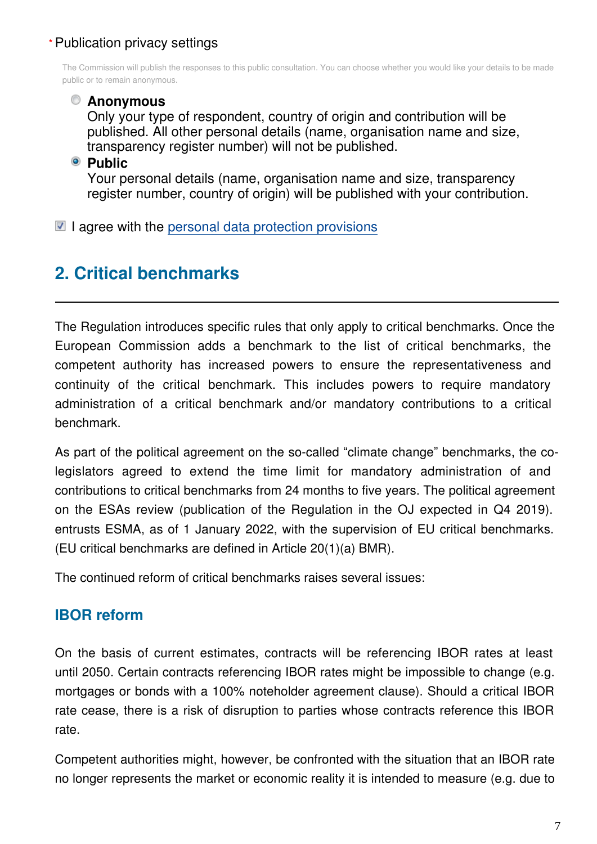### Publication privacy settings **\***

The Commission will publish the responses to this public consultation. You can choose whether you would like your details to be made public or to remain anonymous.

#### **Anonymous**

Only your type of respondent, country of origin and contribution will be published. All other personal details (name, organisation name and size, transparency register number) will not be published.

#### **Public**

Your personal details (name, organisation name and size, transparency register number, country of origin) will be published with your contribution.

 $\blacksquare$  I agree with the [personal data protection provisions](https://ec.europa.eu/info/law/better-regulation/specific-privacy-statement_en)

# **2. Critical benchmarks**

The Regulation introduces specific rules that only apply to critical benchmarks. Once the European Commission adds a benchmark to the list of critical benchmarks, the competent authority has increased powers to ensure the representativeness and continuity of the critical benchmark. This includes powers to require mandatory administration of a critical benchmark and/or mandatory contributions to a critical benchmark.

As part of the political agreement on the so-called "climate change" benchmarks, the colegislators agreed to extend the time limit for mandatory administration of and contributions to critical benchmarks from 24 months to five years. The political agreement on the ESAs review (publication of the Regulation in the OJ expected in Q4 2019). entrusts ESMA, as of 1 January 2022, with the supervision of EU critical benchmarks. (EU critical benchmarks are defined in Article 20(1)(a) BMR).

The continued reform of critical benchmarks raises several issues:

# **IBOR reform**

On the basis of current estimates, contracts will be referencing IBOR rates at least until 2050. Certain contracts referencing IBOR rates might be impossible to change (e.g. mortgages or bonds with a 100% noteholder agreement clause). Should a critical IBOR rate cease, there is a risk of disruption to parties whose contracts reference this IBOR rate.

Competent authorities might, however, be confronted with the situation that an IBOR rate no longer represents the market or economic reality it is intended to measure (e.g. due to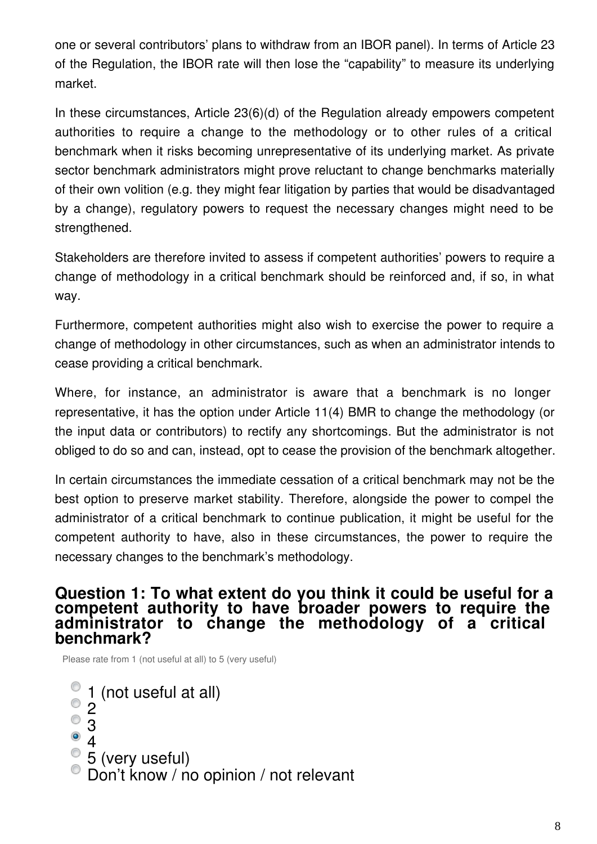one or several contributors' plans to withdraw from an IBOR panel). In terms of Article 23 of the Regulation, the IBOR rate will then lose the "capability" to measure its underlying market.

In these circumstances, Article 23(6)(d) of the Regulation already empowers competent authorities to require a change to the methodology or to other rules of a critical benchmark when it risks becoming unrepresentative of its underlying market. As private sector benchmark administrators might prove reluctant to change benchmarks materially of their own volition (e.g. they might fear litigation by parties that would be disadvantaged by a change), regulatory powers to request the necessary changes might need to be strengthened.

Stakeholders are therefore invited to assess if competent authorities' powers to require a change of methodology in a critical benchmark should be reinforced and, if so, in what way.

Furthermore, competent authorities might also wish to exercise the power to require a change of methodology in other circumstances, such as when an administrator intends to cease providing a critical benchmark.

Where, for instance, an administrator is aware that a benchmark is no longer representative, it has the option under Article 11(4) BMR to change the methodology (or the input data or contributors) to rectify any shortcomings. But the administrator is not obliged to do so and can, instead, opt to cease the provision of the benchmark altogether.

In certain circumstances the immediate cessation of a critical benchmark may not be the best option to preserve market stability. Therefore, alongside the power to compel the administrator of a critical benchmark to continue publication, it might be useful for the competent authority to have, also in these circumstances, the power to require the necessary changes to the benchmark's methodology.

#### **Question 1: To what extent do you think it could be useful for a competent authority to have broader powers to require the administrator to change the methodology of a critical benchmark?**

Please rate from 1 (not useful at all) to 5 (very useful)

- 1 (not useful at all)
- ⊙ 2
- 3
- $\circledcirc$ 4
- 5 (very useful)
- Don't know / no opinion / not relevant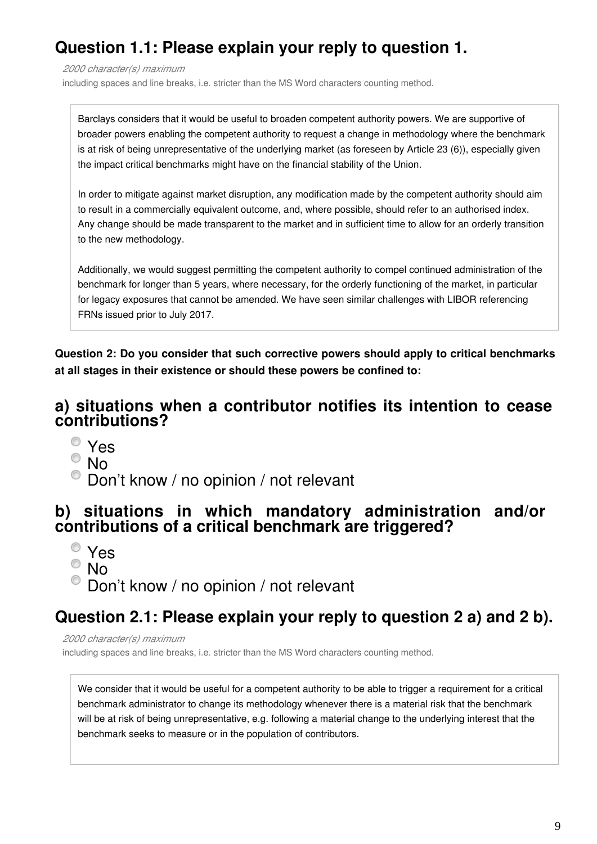# **Question 1.1: Please explain your reply to question 1.**

*2000 character(s) maximum*

including spaces and line breaks, i.e. stricter than the MS Word characters counting method.

Barclays considers that it would be useful to broaden competent authority powers. We are supportive of broader powers enabling the competent authority to request a change in methodology where the benchmark is at risk of being unrepresentative of the underlying market (as foreseen by Article 23 (6)), especially given the impact critical benchmarks might have on the financial stability of the Union.

In order to mitigate against market disruption, any modification made by the competent authority should aim to result in a commercially equivalent outcome, and, where possible, should refer to an authorised index. Any change should be made transparent to the market and in sufficient time to allow for an orderly transition to the new methodology.

Additionally, we would suggest permitting the competent authority to compel continued administration of the benchmark for longer than 5 years, where necessary, for the orderly functioning of the market, in particular for legacy exposures that cannot be amended. We have seen similar challenges with LIBOR referencing FRNs issued prior to July 2017.

**Question 2: Do you consider that such corrective powers should apply to critical benchmarks at all stages in their existence or should these powers be confined to:**

### **a) situations when a contributor notifies its intention to cease contributions?**

- Yes
- $^{\circ}$  No
- $\bullet$  Don't know / no opinion / not relevant

### **b) situations in which mandatory administration and/or contributions of a critical benchmark are triggered?**

- Yes
- $^{\circ}$  No
- <sup>O</sup> Don't know / no opinion / not relevant

# **Question 2.1: Please explain your reply to question 2 a) and 2 b).**

*2000 character(s) maximum*

including spaces and line breaks, i.e. stricter than the MS Word characters counting method.

We consider that it would be useful for a competent authority to be able to trigger a requirement for a critical benchmark administrator to change its methodology whenever there is a material risk that the benchmark will be at risk of being unrepresentative, e.g. following a material change to the underlying interest that the benchmark seeks to measure or in the population of contributors.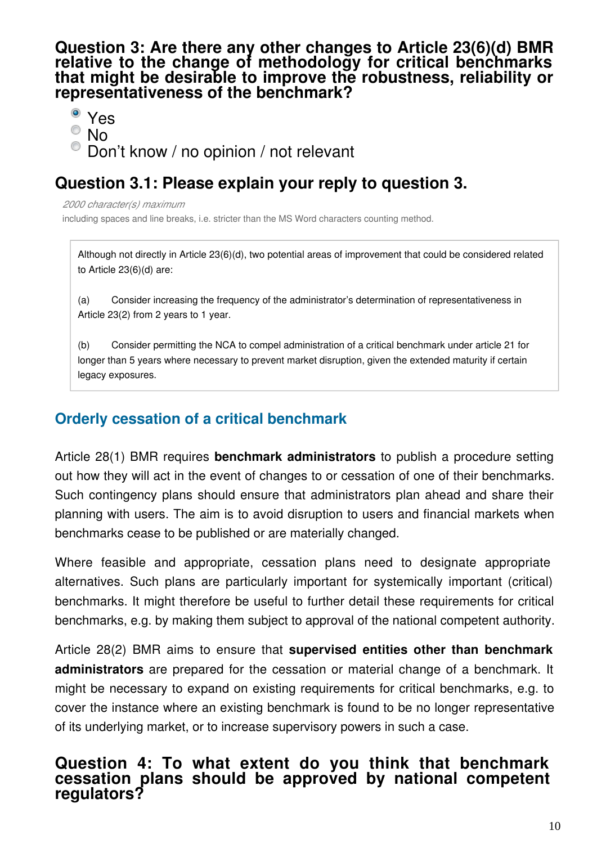**Question 3: Are there any other changes to Article 23(6)(d) BMR relative to the change of methodology for critical benchmarks that might be desirable to improve the robustness, reliability or representativeness of the benchmark?**

Yes

0 No

Don't know / no opinion / not relevant

# **Question 3.1: Please explain your reply to question 3.**

*2000 character(s) maximum*

including spaces and line breaks, i.e. stricter than the MS Word characters counting method.

Although not directly in Article 23(6)(d), two potential areas of improvement that could be considered related to Article 23(6)(d) are:

(a) Consider increasing the frequency of the administrator's determination of representativeness in Article 23(2) from 2 years to 1 year.

(b) Consider permitting the NCA to compel administration of a critical benchmark under article 21 for longer than 5 years where necessary to prevent market disruption, given the extended maturity if certain legacy exposures.

# **Orderly cessation of a critical benchmark**

Article 28(1) BMR requires **benchmark administrators** to publish a procedure setting out how they will act in the event of changes to or cessation of one of their benchmarks. Such contingency plans should ensure that administrators plan ahead and share their planning with users. The aim is to avoid disruption to users and financial markets when benchmarks cease to be published or are materially changed.

Where feasible and appropriate, cessation plans need to designate appropriate alternatives. Such plans are particularly important for systemically important (critical) benchmarks. It might therefore be useful to further detail these requirements for critical benchmarks, e.g. by making them subject to approval of the national competent authority.

Article 28(2) BMR aims to ensure that **supervised entities other than benchmark administrators** are prepared for the cessation or material change of a benchmark. It might be necessary to expand on existing requirements for critical benchmarks, e.g. to cover the instance where an existing benchmark is found to be no longer representative of its underlying market, or to increase supervisory powers in such a case.

### **Question 4: To what extent do you think that benchmark cessation plans should be approved by national competent regulators?**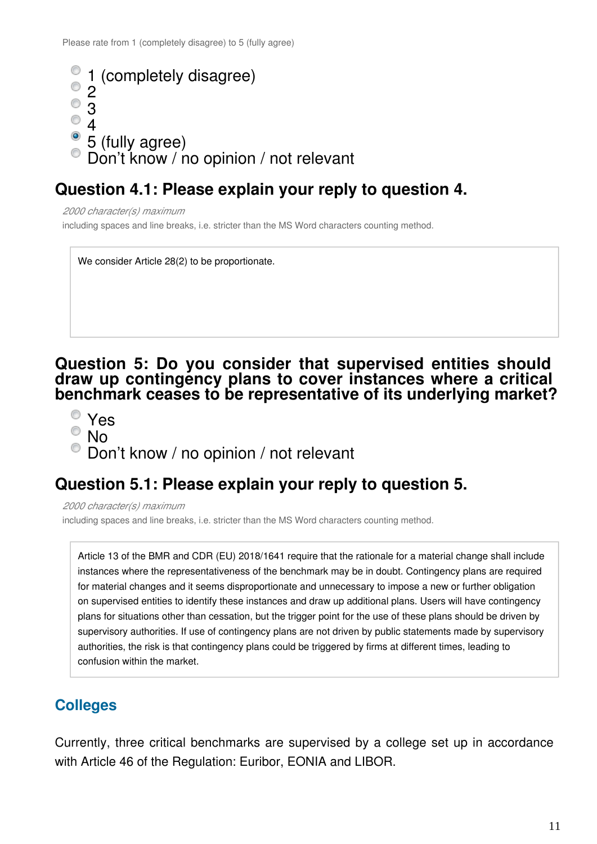```
1 (completely disagree)
  2
\overline{\circ} 3
^{\circ} 4
\degree 5 (fully agree)
Don't know / no opinion / not relevant
```
# **Question 4.1: Please explain your reply to question 4.**

*2000 character(s) maximum* including spaces and line breaks, i.e. stricter than the MS Word characters counting method.

We consider Article 28(2) to be proportionate.

### **Question 5: Do you consider that supervised entities should draw up contingency plans to cover instances where a critical benchmark ceases to be representative of its underlying market?**

- Yes
- No
- $\bullet$  Don't know / no opinion / not relevant

# **Question 5.1: Please explain your reply to question 5.**

*2000 character(s) maximum* including spaces and line breaks, i.e. stricter than the MS Word characters counting method.

Article 13 of the BMR and CDR (EU) 2018/1641 require that the rationale for a material change shall include instances where the representativeness of the benchmark may be in doubt. Contingency plans are required for material changes and it seems disproportionate and unnecessary to impose a new or further obligation on supervised entities to identify these instances and draw up additional plans. Users will have contingency plans for situations other than cessation, but the trigger point for the use of these plans should be driven by supervisory authorities. If use of contingency plans are not driven by public statements made by supervisory authorities, the risk is that contingency plans could be triggered by firms at different times, leading to confusion within the market.

# **Colleges**

Currently, three critical benchmarks are supervised by a college set up in accordance with Article 46 of the Regulation: Euribor, EONIA and LIBOR.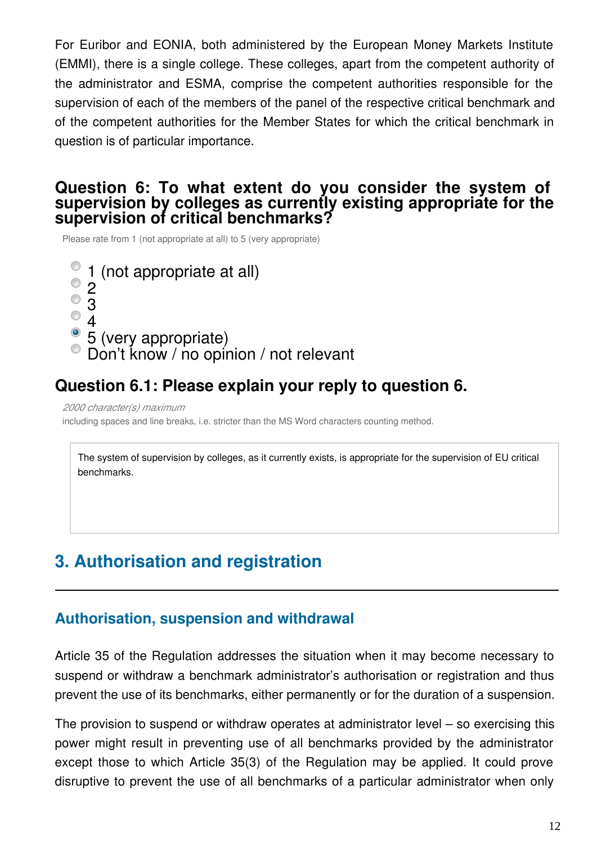For Euribor and EONIA, both administered by the European Money Markets Institute (EMMI), there is a single college. These colleges, apart from the competent authority of the administrator and ESMA, comprise the competent authorities responsible for the supervision of each of the members of the panel of the respective critical benchmark and of the competent authorities for the Member States for which the critical benchmark in question is of particular importance.

### **Question 6: To what extent do you consider the system of supervision by colleges as currently existing appropriate for the supervision of critical benchmarks?**

Please rate from 1 (not appropriate at all) to 5 (very appropriate)

1 (not appropriate at all)  $^{\circ}$  2  $^{\circ}$  3  $^{\circ}$  4 • 5 (very appropriate) Don't know / no opinion / not relevant

# **Question 6.1: Please explain your reply to question 6.**

*2000 character(s) maximum*

including spaces and line breaks, i.e. stricter than the MS Word characters counting method.

The system of supervision by colleges, as it currently exists, is appropriate for the supervision of EU critical benchmarks.

# **3. Authorisation and registration**

### **Authorisation, suspension and withdrawal**

Article 35 of the Regulation addresses the situation when it may become necessary to suspend or withdraw a benchmark administrator's authorisation or registration and thus prevent the use of its benchmarks, either permanently or for the duration of a suspension.

The provision to suspend or withdraw operates at administrator level – so exercising this power might result in preventing use of all benchmarks provided by the administrator except those to which Article 35(3) of the Regulation may be applied. It could prove disruptive to prevent the use of all benchmarks of a particular administrator when only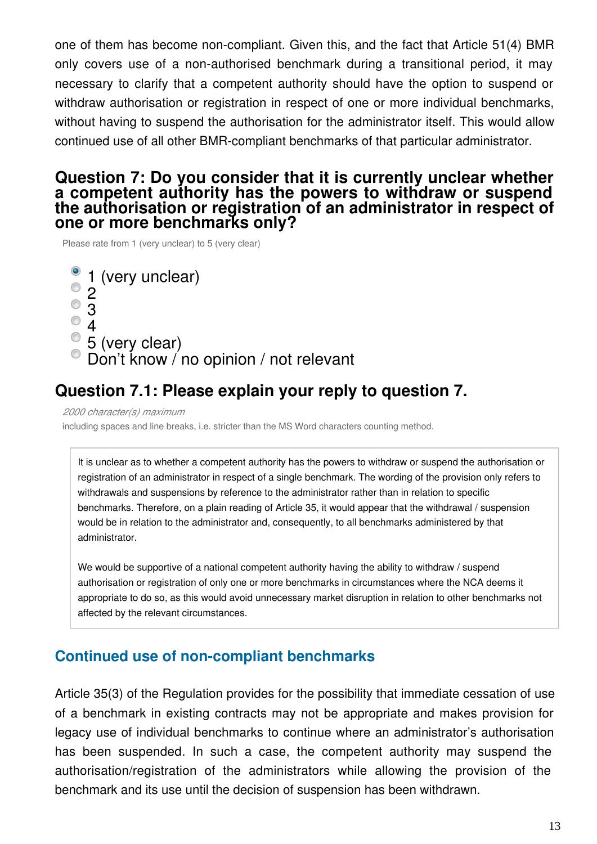one of them has become non-compliant. Given this, and the fact that Article 51(4) BMR only covers use of a non-authorised benchmark during a transitional period, it may necessary to clarify that a competent authority should have the option to suspend or withdraw authorisation or registration in respect of one or more individual benchmarks, without having to suspend the authorisation for the administrator itself. This would allow continued use of all other BMR-compliant benchmarks of that particular administrator.

### **Question 7: Do you consider that it is currently unclear whether a competent authority has the powers to withdraw or suspend the authorisation or registration of an administrator in respect of one or more benchmarks only?**

Please rate from 1 (very unclear) to 5 (very clear)

1 (very unclear) 2 3 4 5 (very clear) Don't know / no opinion / not relevant

# **Question 7.1: Please explain your reply to question 7.**

*2000 character(s) maximum*

including spaces and line breaks, i.e. stricter than the MS Word characters counting method.

It is unclear as to whether a competent authority has the powers to withdraw or suspend the authorisation or registration of an administrator in respect of a single benchmark. The wording of the provision only refers to withdrawals and suspensions by reference to the administrator rather than in relation to specific benchmarks. Therefore, on a plain reading of Article 35, it would appear that the withdrawal / suspension would be in relation to the administrator and, consequently, to all benchmarks administered by that administrator.

We would be supportive of a national competent authority having the ability to withdraw / suspend authorisation or registration of only one or more benchmarks in circumstances where the NCA deems it appropriate to do so, as this would avoid unnecessary market disruption in relation to other benchmarks not affected by the relevant circumstances.

### **Continued use of non-compliant benchmarks**

Article 35(3) of the Regulation provides for the possibility that immediate cessation of use of a benchmark in existing contracts may not be appropriate and makes provision for legacy use of individual benchmarks to continue where an administrator's authorisation has been suspended. In such a case, the competent authority may suspend the authorisation/registration of the administrators while allowing the provision of the benchmark and its use until the decision of suspension has been withdrawn.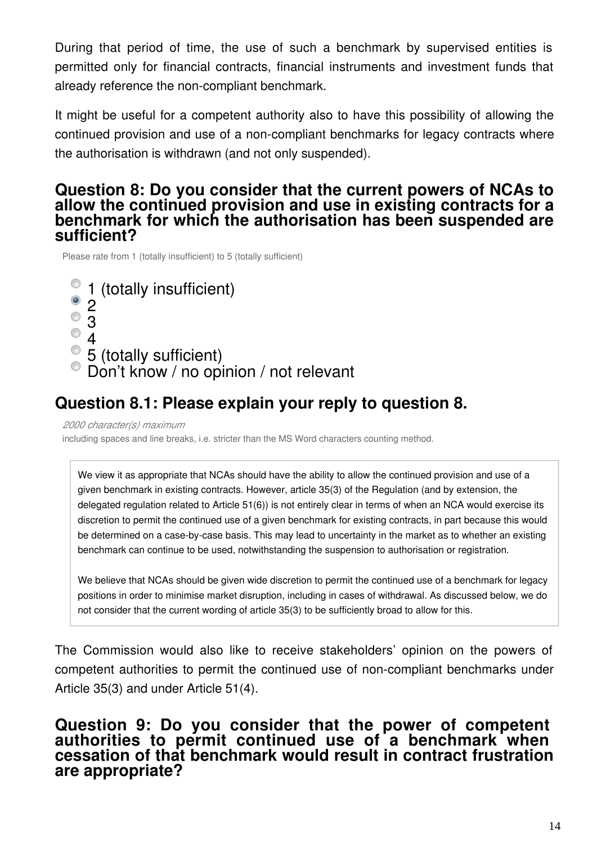During that period of time, the use of such a benchmark by supervised entities is permitted only for financial contracts, financial instruments and investment funds that already reference the non-compliant benchmark.

It might be useful for a competent authority also to have this possibility of allowing the continued provision and use of a non-compliant benchmarks for legacy contracts where the authorisation is withdrawn (and not only suspended).

### **Question 8: Do you consider that the current powers of NCAs to allow the continued provision and use in existing contracts for a benchmark for which the authorisation has been suspended are sufficient?**

Please rate from 1 (totally insufficient) to 5 (totally sufficient)

- 1 (totally insufficient)
- 2
- 3
- $^{\circ}$  4
- $\degree$  5 (totally sufficient)
- Don't know / no opinion / not relevant

# **Question 8.1: Please explain your reply to question 8.**

*2000 character(s) maximum*

including spaces and line breaks, i.e. stricter than the MS Word characters counting method.

We view it as appropriate that NCAs should have the ability to allow the continued provision and use of a given benchmark in existing contracts. However, article 35(3) of the Regulation (and by extension, the delegated regulation related to Article 51(6)) is not entirely clear in terms of when an NCA would exercise its discretion to permit the continued use of a given benchmark for existing contracts, in part because this would be determined on a case-by-case basis. This may lead to uncertainty in the market as to whether an existing benchmark can continue to be used, notwithstanding the suspension to authorisation or registration.

We believe that NCAs should be given wide discretion to permit the continued use of a benchmark for legacy positions in order to minimise market disruption, including in cases of withdrawal. As discussed below, we do not consider that the current wording of article 35(3) to be sufficiently broad to allow for this.

The Commission would also like to receive stakeholders' opinion on the powers of competent authorities to permit the continued use of non-compliant benchmarks under Article 35(3) and under Article 51(4).

### **Question 9: Do you consider that the power of competent authorities to permit continued use of a benchmark when cessation of that benchmark would result in contract frustration are appropriate?**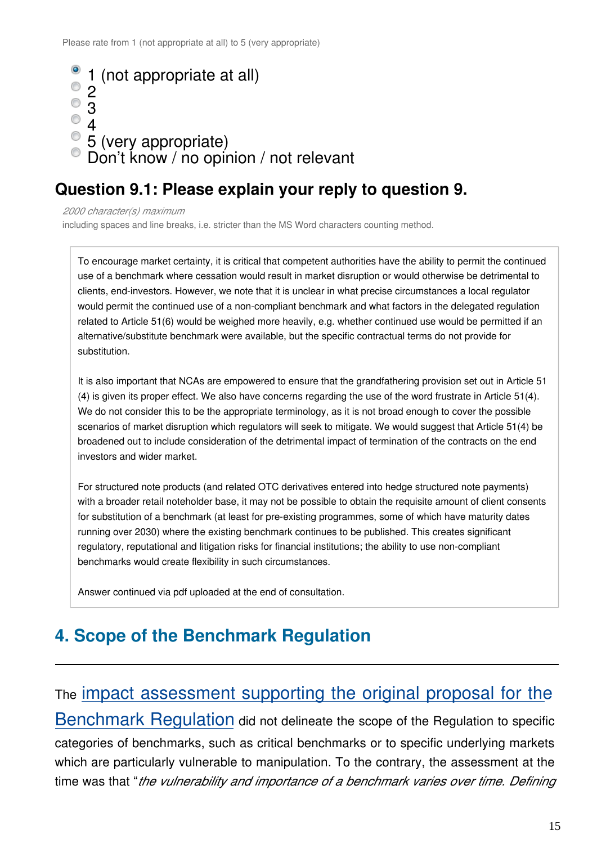

### **Question 9.1: Please explain your reply to question 9.**

*2000 character(s) maximum*

including spaces and line breaks, i.e. stricter than the MS Word characters counting method.

To encourage market certainty, it is critical that competent authorities have the ability to permit the continued use of a benchmark where cessation would result in market disruption or would otherwise be detrimental to clients, end-investors. However, we note that it is unclear in what precise circumstances a local regulator would permit the continued use of a non-compliant benchmark and what factors in the delegated regulation related to Article 51(6) would be weighed more heavily, e.g. whether continued use would be permitted if an alternative/substitute benchmark were available, but the specific contractual terms do not provide for substitution.

It is also important that NCAs are empowered to ensure that the grandfathering provision set out in Article 51 (4) is given its proper effect. We also have concerns regarding the use of the word frustrate in Article 51(4). We do not consider this to be the appropriate terminology, as it is not broad enough to cover the possible scenarios of market disruption which regulators will seek to mitigate. We would suggest that Article 51(4) be broadened out to include consideration of the detrimental impact of termination of the contracts on the end investors and wider market.

For structured note products (and related OTC derivatives entered into hedge structured note payments) with a broader retail noteholder base, it may not be possible to obtain the requisite amount of client consents for substitution of a benchmark (at least for pre-existing programmes, some of which have maturity dates running over 2030) where the existing benchmark continues to be published. This creates significant regulatory, reputational and litigation risks for financial institutions; the ability to use non-compliant benchmarks would create flexibility in such circumstances.

Answer continued via pdf uploaded at the end of consultation.

# **4. Scope of the Benchmark Regulation**

# The [impact assessment supporting the original proposal for the](https://eur-lex.europa.eu/legal-content/EN/TXT/?uri=CELEX:52013SC0336)

[Benchmark Regulation](https://eur-lex.europa.eu/legal-content/EN/TXT/?uri=CELEX:52013SC0336) did not delineate the scope of the Regulation to specific categories of benchmarks, such as critical benchmarks or to specific underlying markets which are particularly vulnerable to manipulation. To the contrary, the assessment at the time was that "*the vulnerability and importance of a benchmark varies over time. Defining*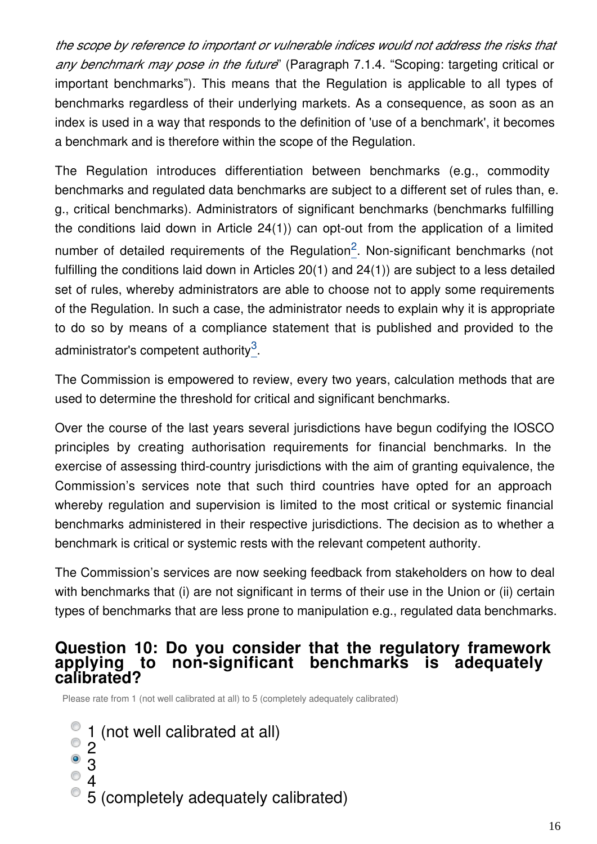*the scope by reference to important or vulnerable indices would not address the risks that any benchmark may pose in the future*" (Paragraph 7.1.4. "Scoping: targeting critical or important benchmarks"). This means that the Regulation is applicable to all types of benchmarks regardless of their underlying markets. As a consequence, as soon as an index is used in a way that responds to the definition of 'use of a benchmark', it becomes a benchmark and is therefore within the scope of the Regulation.

The Regulation introduces differentiation between benchmarks (e.g., commodity benchmarks and regulated data benchmarks are subject to a different set of rules than, e. g., critical benchmarks). Administrators of significant benchmarks (benchmarks fulfilling the conditions laid down in Article 24(1)) can opt-out from the application of a limited number of detailed requirements of the Regulation<sup>[2](#page-17-0)</sup>. Non-significant benchmarks (not fulfilling the conditions laid down in Articles 20(1) and 24(1)) are subject to a less detailed set of rules, whereby administrators are able to choose not to apply some requirements of the Regulation. In such a case, the administrator needs to explain why it is appropriate to do so by means of a compliance statement that is published and provided to the administrator's competent authority $3$ .

The Commission is empowered to review, every two years, calculation methods that are used to determine the threshold for critical and significant benchmarks.

Over the course of the last years several jurisdictions have begun codifying the IOSCO principles by creating authorisation requirements for financial benchmarks. In the exercise of assessing third-country jurisdictions with the aim of granting equivalence, the Commission's services note that such third countries have opted for an approach whereby regulation and supervision is limited to the most critical or systemic financial benchmarks administered in their respective jurisdictions. The decision as to whether a benchmark is critical or systemic rests with the relevant competent authority.

The Commission's services are now seeking feedback from stakeholders on how to deal with benchmarks that (i) are not significant in terms of their use in the Union or (ii) certain types of benchmarks that are less prone to manipulation e.g., regulated data benchmarks.

### **Question 10: Do you consider that the regulatory framework applying to non-significant benchmarks is adequately calibrated?**

Please rate from 1 (not well calibrated at all) to 5 (completely adequately calibrated)

- 1 (not well calibrated at all)  $^{\circ}$  2 3
	- 4
	- 5 (completely adequately calibrated)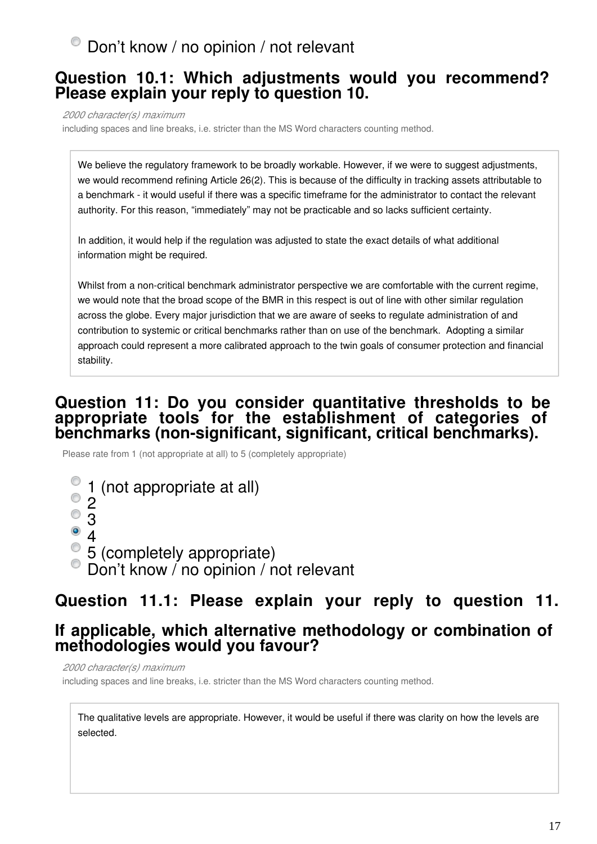# $\bullet$  Don't know / no opinion / not relevant

### **Question 10.1: Which adjustments would you recommend? Please explain your reply to question 10.**

*2000 character(s) maximum*

including spaces and line breaks, i.e. stricter than the MS Word characters counting method.

We believe the regulatory framework to be broadly workable. However, if we were to suggest adjustments, we would recommend refining Article 26(2). This is because of the difficulty in tracking assets attributable to a benchmark - it would useful if there was a specific timeframe for the administrator to contact the relevant authority. For this reason, "immediately" may not be practicable and so lacks sufficient certainty.

In addition, it would help if the regulation was adjusted to state the exact details of what additional information might be required.

Whilst from a non-critical benchmark administrator perspective we are comfortable with the current regime, we would note that the broad scope of the BMR in this respect is out of line with other similar regulation across the globe. Every major jurisdiction that we are aware of seeks to regulate administration of and contribution to systemic or critical benchmarks rather than on use of the benchmark. Adopting a similar approach could represent a more calibrated approach to the twin goals of consumer protection and financial stability.

### **Question 11: Do you consider quantitative thresholds to be appropriate tools for the establishment of categories of benchmarks (non-significant, significant, critical benchmarks).**

Please rate from 1 (not appropriate at all) to 5 (completely appropriate)

- $\degree$  1 (not appropriate at all)
- 2  $\circ$  3
- $^{\circ}$  4
- 5 (completely appropriate)
- Don't know / no opinion / not relevant

# **Question 11.1: Please explain your reply to question 11.**

### **If applicable, which alternative methodology or combination of methodologies would you favour?**

*2000 character(s) maximum* including spaces and line breaks, i.e. stricter than the MS Word characters counting method.

The qualitative levels are appropriate. However, it would be useful if there was clarity on how the levels are selected.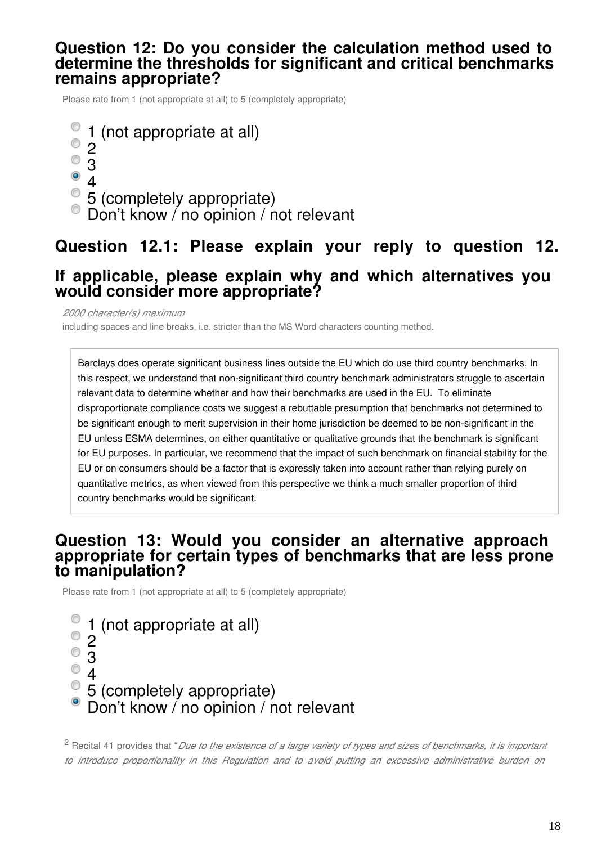#### **Question 12: Do you consider the calculation method used to determine the thresholds for significant and critical benchmarks remains appropriate?**

Please rate from 1 (not appropriate at all) to 5 (completely appropriate)

1 (not appropriate at all)  $\mathcal{P}$  $\overline{\text{}}\,3$  $^{\circ}$  4 5 (completely appropriate)  $\bullet$  Don't know / no opinion / not relevant

# **Question 12.1: Please explain your reply to question 12. If applicable, please explain why and which alternatives you would consider more appropriate?**

*2000 character(s) maximum*

including spaces and line breaks, i.e. stricter than the MS Word characters counting method.

Barclays does operate significant business lines outside the EU which do use third country benchmarks. In this respect, we understand that non-significant third country benchmark administrators struggle to ascertain relevant data to determine whether and how their benchmarks are used in the EU. To eliminate disproportionate compliance costs we suggest a rebuttable presumption that benchmarks not determined to be significant enough to merit supervision in their home jurisdiction be deemed to be non-significant in the EU unless ESMA determines, on either quantitative or qualitative grounds that the benchmark is significant for EU purposes. In particular, we recommend that the impact of such benchmark on financial stability for the EU or on consumers should be a factor that is expressly taken into account rather than relying purely on quantitative metrics, as when viewed from this perspective we think a much smaller proportion of third country benchmarks would be significant.

### **Question 13: Would you consider an alternative approach appropriate for certain types of benchmarks that are less prone to manipulation?**

Please rate from 1 (not appropriate at all) to 5 (completely appropriate)



<span id="page-17-0"></span>2 Recital 41 provides that "*Due to the existence of a large variety of types and sizes of benchmarks, it is important to introduce proportionality in this Regulation and to avoid putting an excessive administrative burden on*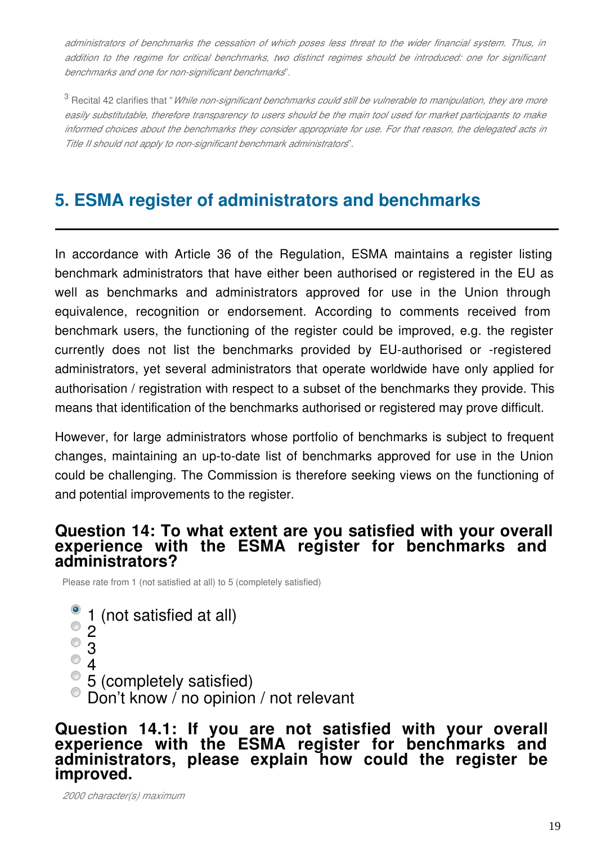*administrators of benchmarks the cessation of which poses less threat to the wider financial system. Thus, in addition to the regime for critical benchmarks, two distinct regimes should be introduced: one for significant benchmarks and one for non-significant benchmarks*".

<span id="page-18-0"></span><sup>3</sup> Recital 42 clarifies that "*While non-significant benchmarks could still be vulnerable to manipulation, they are more easily substitutable, therefore transparency to users should be the main tool used for market participants to make informed choices about the benchmarks they consider appropriate for use. For that reason, the delegated acts in Title II should not apply to non-significant benchmark administrators*".

# **5. ESMA register of administrators and benchmarks**

In accordance with Article 36 of the Regulation, ESMA maintains a register listing benchmark administrators that have either been authorised or registered in the EU as well as benchmarks and administrators approved for use in the Union through equivalence, recognition or endorsement. According to comments received from benchmark users, the functioning of the register could be improved, e.g. the register currently does not list the benchmarks provided by EU-authorised or -registered administrators, yet several administrators that operate worldwide have only applied for authorisation / registration with respect to a subset of the benchmarks they provide. This means that identification of the benchmarks authorised or registered may prove difficult.

However, for large administrators whose portfolio of benchmarks is subject to frequent changes, maintaining an up-to-date list of benchmarks approved for use in the Union could be challenging. The Commission is therefore seeking views on the functioning of and potential improvements to the register.

### **Question 14: To what extent are you satisfied with your overall experience with the ESMA register for benchmarks and administrators?**

Please rate from 1 (not satisfied at all) to 5 (completely satisfied)

- 1 (not satisfied at all)
- $^{\circ}$  2
- $^{\circ}$  3
- $^{\circ}$  4
- 5 (completely satisfied)
- Don't know / no opinion / not relevant

**Question 14.1: If you are not satisfied with your overall experience with the ESMA register for benchmarks and administrators, please explain how could the register be improved.**

*2000 character(s) maximum*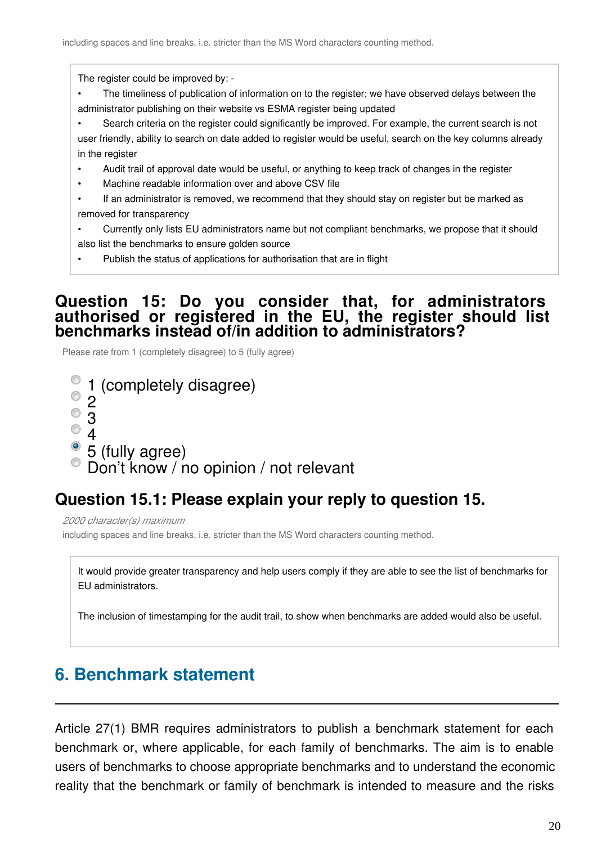The register could be improved by: -

- The timeliness of publication of information on to the register; we have observed delays between the administrator publishing on their website vs ESMA register being updated
- Search criteria on the register could significantly be improved. For example, the current search is not user friendly, ability to search on date added to register would be useful, search on the key columns already in the register
- Audit trail of approval date would be useful, or anything to keep track of changes in the register
- Machine readable information over and above CSV file
- If an administrator is removed, we recommend that they should stay on register but be marked as removed for transparency
- Currently only lists EU administrators name but not compliant benchmarks, we propose that it should also list the benchmarks to ensure golden source
- Publish the status of applications for authorisation that are in flight

### **Question 15: Do you consider that, for administrators authorised or registered in the EU, the register should list benchmarks instead of/in addition to administrators?**

Please rate from 1 (completely disagree) to 5 (fully agree)

1 (completely disagree)  $^{\circ}$  2  $^{\circ}$  3  $^{\circ}$  4  $\degree$  5 (fully agree) Don't know / no opinion / not relevant

# **Question 15.1: Please explain your reply to question 15.**

*2000 character(s) maximum* including spaces and line breaks, i.e. stricter than the MS Word characters counting method.

It would provide greater transparency and help users comply if they are able to see the list of benchmarks for EU administrators.

The inclusion of timestamping for the audit trail, to show when benchmarks are added would also be useful.

# **6. Benchmark statement**

Article 27(1) BMR requires administrators to publish a benchmark statement for each benchmark or, where applicable, for each family of benchmarks. The aim is to enable users of benchmarks to choose appropriate benchmarks and to understand the economic reality that the benchmark or family of benchmark is intended to measure and the risks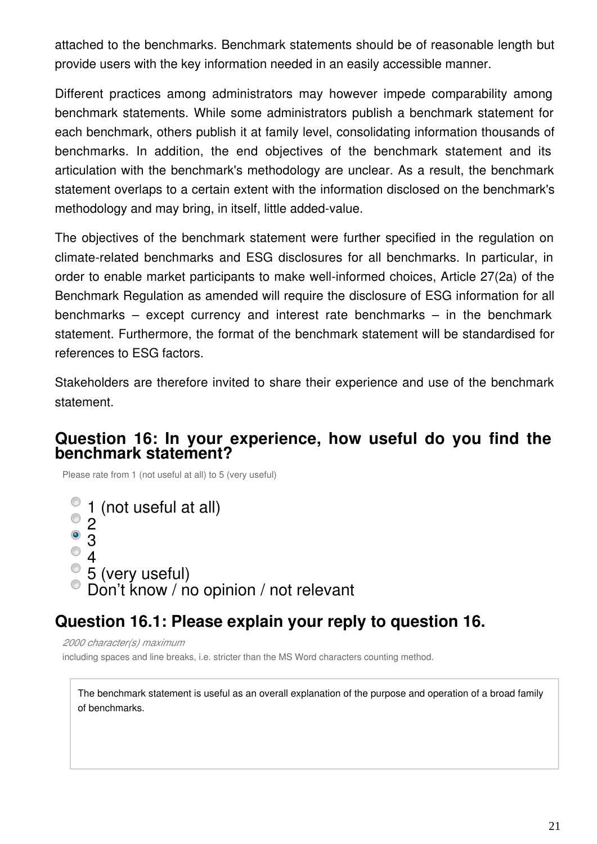attached to the benchmarks. Benchmark statements should be of reasonable length but provide users with the key information needed in an easily accessible manner.

Different practices among administrators may however impede comparability among benchmark statements. While some administrators publish a benchmark statement for each benchmark, others publish it at family level, consolidating information thousands of benchmarks. In addition, the end objectives of the benchmark statement and its articulation with the benchmark's methodology are unclear. As a result, the benchmark statement overlaps to a certain extent with the information disclosed on the benchmark's methodology and may bring, in itself, little added-value.

The objectives of the benchmark statement were further specified in the regulation on climate-related benchmarks and ESG disclosures for all benchmarks. In particular, in order to enable market participants to make well-informed choices, Article 27(2a) of the Benchmark Regulation as amended will require the disclosure of ESG information for all benchmarks – except currency and interest rate benchmarks – in the benchmark statement. Furthermore, the format of the benchmark statement will be standardised for references to ESG factors.

Stakeholders are therefore invited to share their experience and use of the benchmark statement.

### **Question 16: In your experience, how useful do you find the benchmark statement?**

Please rate from 1 (not useful at all) to 5 (very useful)

```
1 (not useful at all)
\circ 2
\odot3
  4
  5 (very useful)
  Don't know / no opinion / not relevant
```
# **Question 16.1: Please explain your reply to question 16.**

*2000 character(s) maximum*

including spaces and line breaks, i.e. stricter than the MS Word characters counting method.

The benchmark statement is useful as an overall explanation of the purpose and operation of a broad family of benchmarks.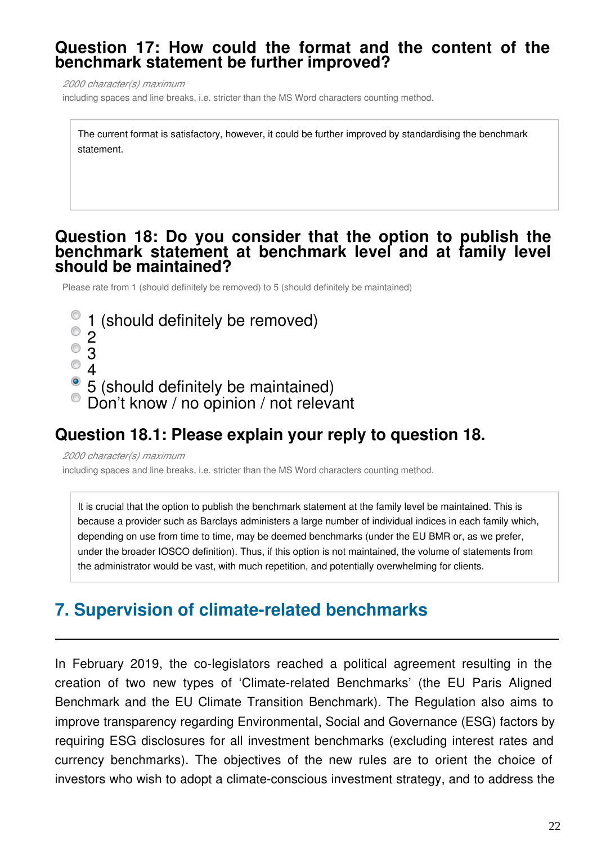### **Question 17: How could the format and the content of the benchmark statement be further improved?**

*2000 character(s) maximum*

including spaces and line breaks, i.e. stricter than the MS Word characters counting method.

The current format is satisfactory, however, it could be further improved by standardising the benchmark statement.

#### **Question 18: Do you consider that the option to publish the benchmark statement at benchmark level and at family level should be maintained?**

Please rate from 1 (should definitely be removed) to 5 (should definitely be maintained)

- 1 (should definitely be removed)
- $^{\circ}$  2
- 3
- 4

• 5 (should definitely be maintained)

Don't know / no opinion / not relevant

### **Question 18.1: Please explain your reply to question 18.**

*2000 character(s) maximum* including spaces and line breaks, i.e. stricter than the MS Word characters counting method.

It is crucial that the option to publish the benchmark statement at the family level be maintained. This is because a provider such as Barclays administers a large number of individual indices in each family which, depending on use from time to time, may be deemed benchmarks (under the EU BMR or, as we prefer, under the broader IOSCO definition). Thus, if this option is not maintained, the volume of statements from the administrator would be vast, with much repetition, and potentially overwhelming for clients.

# **7. Supervision of climate-related benchmarks**

In February 2019, the co-legislators reached a political agreement resulting in the creation of two new types of 'Climate-related Benchmarks' (the EU Paris Aligned Benchmark and the EU Climate Transition Benchmark). The Regulation also aims to improve transparency regarding Environmental, Social and Governance (ESG) factors by requiring ESG disclosures for all investment benchmarks (excluding interest rates and currency benchmarks). The objectives of the new rules are to orient the choice of investors who wish to adopt a climate-conscious investment strategy, and to address the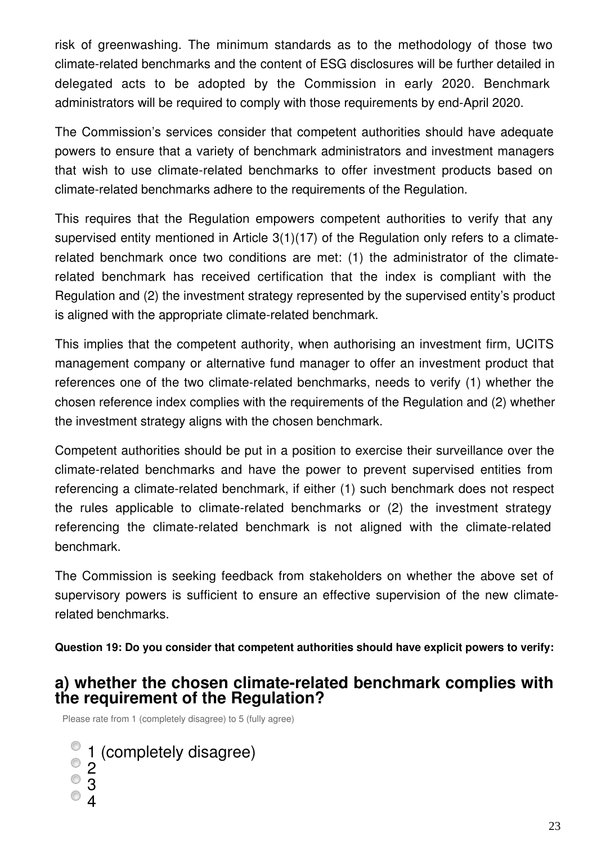risk of greenwashing. The minimum standards as to the methodology of those two climate-related benchmarks and the content of ESG disclosures will be further detailed in delegated acts to be adopted by the Commission in early 2020. Benchmark administrators will be required to comply with those requirements by end-April 2020.

The Commission's services consider that competent authorities should have adequate powers to ensure that a variety of benchmark administrators and investment managers that wish to use climate-related benchmarks to offer investment products based on climate-related benchmarks adhere to the requirements of the Regulation.

This requires that the Regulation empowers competent authorities to verify that any supervised entity mentioned in Article 3(1)(17) of the Regulation only refers to a climaterelated benchmark once two conditions are met: (1) the administrator of the climaterelated benchmark has received certification that the index is compliant with the Regulation and (2) the investment strategy represented by the supervised entity's product is aligned with the appropriate climate-related benchmark.

This implies that the competent authority, when authorising an investment firm, UCITS management company or alternative fund manager to offer an investment product that references one of the two climate-related benchmarks, needs to verify (1) whether the chosen reference index complies with the requirements of the Regulation and (2) whether the investment strategy aligns with the chosen benchmark.

Competent authorities should be put in a position to exercise their surveillance over the climate-related benchmarks and have the power to prevent supervised entities from referencing a climate-related benchmark, if either (1) such benchmark does not respect the rules applicable to climate-related benchmarks or (2) the investment strategy referencing the climate-related benchmark is not aligned with the climate-related benchmark.

The Commission is seeking feedback from stakeholders on whether the above set of supervisory powers is sufficient to ensure an effective supervision of the new climaterelated benchmarks.

**Question 19: Do you consider that competent authorities should have explicit powers to verify:**

### **a) whether the chosen climate-related benchmark complies with the requirement of the Regulation?**

Please rate from 1 (completely disagree) to 5 (fully agree)

- 1 (completely disagree) 2 3
- 4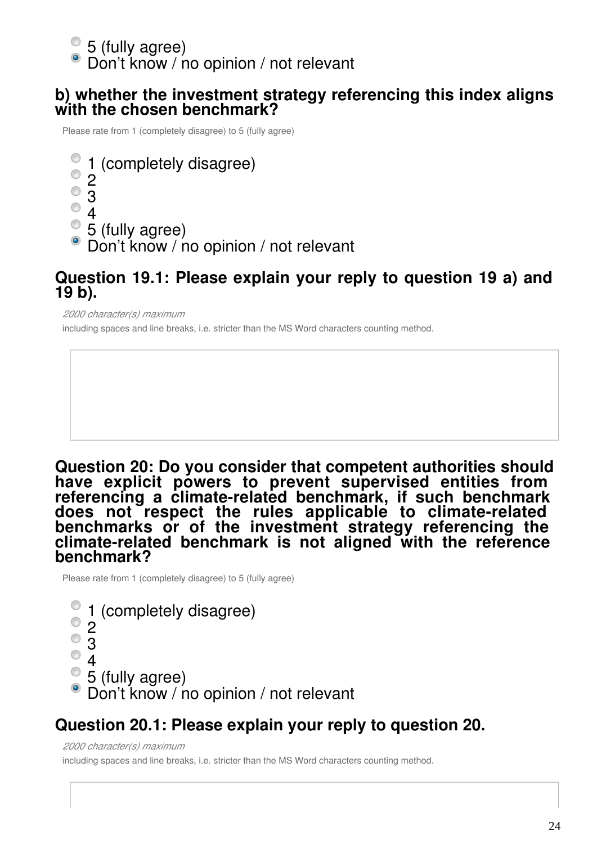5 (fully agree)

Don't know / no opinion / not relevant

### **b) whether the investment strategy referencing this index aligns with the chosen benchmark?**

Please rate from 1 (completely disagree) to 5 (fully agree)

1 (completely disagree)  $^{\circ}$  2 3  $^{\circ}$  4 5 (fully agree) Don't know / no opinion / not relevant

### **Question 19.1: Please explain your reply to question 19 a) and 19 b).**

*2000 character(s) maximum*

including spaces and line breaks, i.e. stricter than the MS Word characters counting method.

**Question 20: Do you consider that competent authorities should have explicit powers to prevent supervised entities from referencing a climate-related benchmark, if such benchmark does not respect the rules applicable to climate-related benchmarks or of the investment strategy referencing the climate-related benchmark is not aligned with the reference benchmark?**

Please rate from 1 (completely disagree) to 5 (fully agree)

1 (completely disagree) 2  $^{\circ}$  3  $^{\circ}$  4 5 (fully agree) Don't know / no opinion / not relevant

# **Question 20.1: Please explain your reply to question 20.**

*2000 character(s) maximum*

including spaces and line breaks, i.e. stricter than the MS Word characters counting method.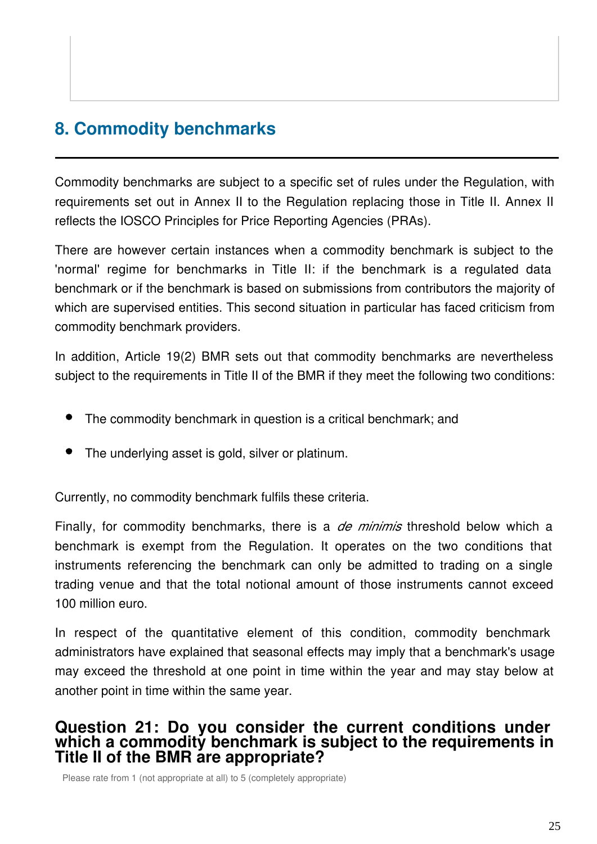# **8. Commodity benchmarks**

Commodity benchmarks are subject to a specific set of rules under the Regulation, with requirements set out in Annex II to the Regulation replacing those in Title II. Annex II reflects the IOSCO Principles for Price Reporting Agencies (PRAs).

There are however certain instances when a commodity benchmark is subject to the 'normal' regime for benchmarks in Title II: if the benchmark is a regulated data benchmark or if the benchmark is based on submissions from contributors the majority of which are supervised entities. This second situation in particular has faced criticism from commodity benchmark providers.

In addition, Article 19(2) BMR sets out that commodity benchmarks are nevertheless subject to the requirements in Title II of the BMR if they meet the following two conditions:

- The commodity benchmark in question is a critical benchmark; and
- The underlying asset is gold, silver or platinum.

Currently, no commodity benchmark fulfils these criteria.

Finally, for commodity benchmarks, there is a *de minimis* threshold below which a benchmark is exempt from the Regulation. It operates on the two conditions that instruments referencing the benchmark can only be admitted to trading on a single trading venue and that the total notional amount of those instruments cannot exceed 100 million euro.

In respect of the quantitative element of this condition, commodity benchmark administrators have explained that seasonal effects may imply that a benchmark's usage may exceed the threshold at one point in time within the year and may stay below at another point in time within the same year.

### **Question 21: Do you consider the current conditions under which a commodity benchmark is subject to the requirements in Title II of the BMR are appropriate?**

Please rate from 1 (not appropriate at all) to 5 (completely appropriate)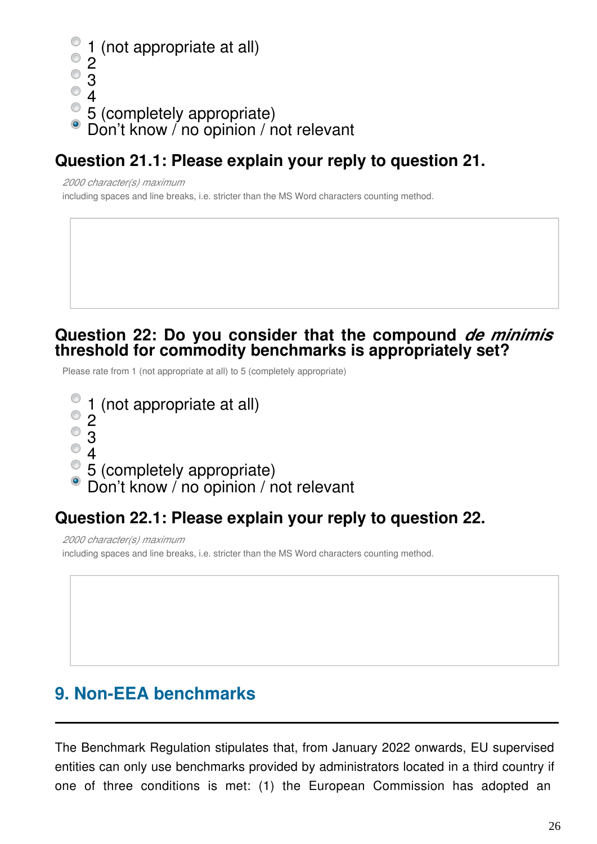```
1 (not appropriate at all)
  2
^{\circ} 3
^{\circ} 4
5 (completely appropriate)
  Don't know / no opinion / not relevant
```
# **Question 21.1: Please explain your reply to question 21.**

*2000 character(s) maximum*

including spaces and line breaks, i.e. stricter than the MS Word characters counting method.

### **Question 22: Do you consider that the compound** *de minimis* **threshold for commodity benchmarks is appropriately set?**

Please rate from 1 (not appropriate at all) to 5 (completely appropriate)

- 1 (not appropriate at all)
- $^{\circ}$  2
- $^{\circ}$  3
- $^{\circ}$  4
- 5 (completely appropriate)
- Don't know / no opinion / not relevant

# **Question 22.1: Please explain your reply to question 22.**

*2000 character(s) maximum* including spaces and line breaks, i.e. stricter than the MS Word characters counting method.

# **9. Non-EEA benchmarks**

The Benchmark Regulation stipulates that, from January 2022 onwards, EU supervised entities can only use benchmarks provided by administrators located in a third country if one of three conditions is met: (1) the European Commission has adopted an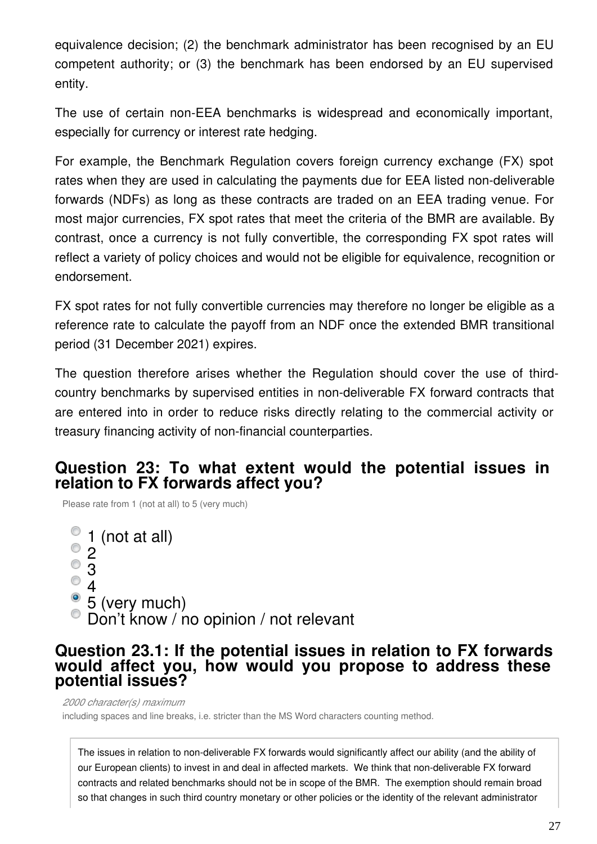equivalence decision; (2) the benchmark administrator has been recognised by an EU competent authority; or (3) the benchmark has been endorsed by an EU supervised entity.

The use of certain non-EEA benchmarks is widespread and economically important, especially for currency or interest rate hedging.

For example, the Benchmark Regulation covers foreign currency exchange (FX) spot rates when they are used in calculating the payments due for EEA listed non-deliverable forwards (NDFs) as long as these contracts are traded on an EEA trading venue. For most major currencies, FX spot rates that meet the criteria of the BMR are available. By contrast, once a currency is not fully convertible, the corresponding FX spot rates will reflect a variety of policy choices and would not be eligible for equivalence, recognition or endorsement.

FX spot rates for not fully convertible currencies may therefore no longer be eligible as a reference rate to calculate the payoff from an NDF once the extended BMR transitional period (31 December 2021) expires.

The question therefore arises whether the Regulation should cover the use of thirdcountry benchmarks by supervised entities in non-deliverable FX forward contracts that are entered into in order to reduce risks directly relating to the commercial activity or treasury financing activity of non-financial counterparties.

### **Question 23: To what extent would the potential issues in relation to FX forwards affect you?**

Please rate from 1 (not at all) to 5 (very much)

(not at all) 2 3  $^{\circ}$  4 • 5 (very much) Don't know / no opinion / not relevant

### **Question 23.1: If the potential issues in relation to FX forwards would affect you, how would you propose to address these potential issues?**

*2000 character(s) maximum*

including spaces and line breaks, i.e. stricter than the MS Word characters counting method.

The issues in relation to non-deliverable FX forwards would significantly affect our ability (and the ability of our European clients) to invest in and deal in affected markets. We think that non-deliverable FX forward contracts and related benchmarks should not be in scope of the BMR. The exemption should remain broad so that changes in such third country monetary or other policies or the identity of the relevant administrator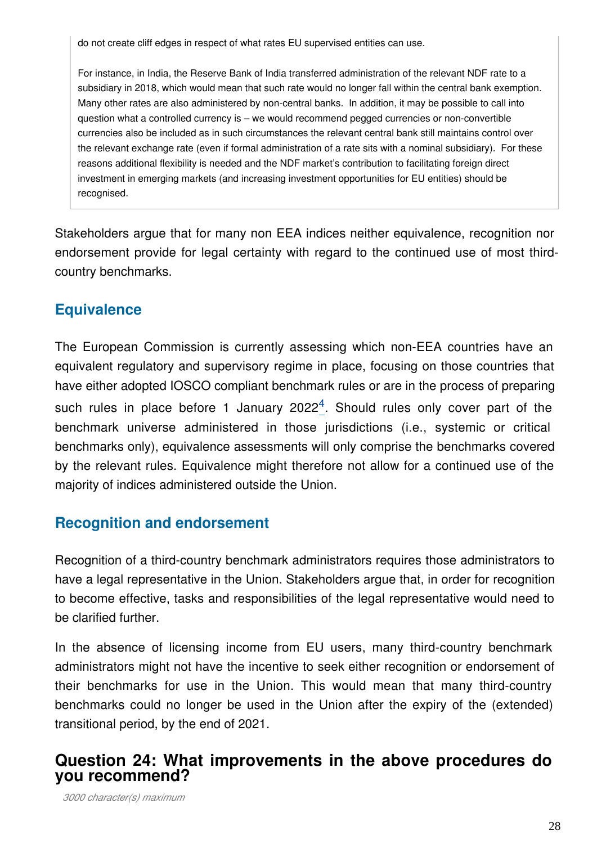do not create cliff edges in respect of what rates EU supervised entities can use.

For instance, in India, the Reserve Bank of India transferred administration of the relevant NDF rate to a subsidiary in 2018, which would mean that such rate would no longer fall within the central bank exemption. Many other rates are also administered by non-central banks. In addition, it may be possible to call into question what a controlled currency is – we would recommend pegged currencies or non-convertible currencies also be included as in such circumstances the relevant central bank still maintains control over the relevant exchange rate (even if formal administration of a rate sits with a nominal subsidiary). For these reasons additional flexibility is needed and the NDF market's contribution to facilitating foreign direct investment in emerging markets (and increasing investment opportunities for EU entities) should be recognised.

Stakeholders argue that for many non EEA indices neither equivalence, recognition nor endorsement provide for legal certainty with regard to the continued use of most thirdcountry benchmarks.

# **Equivalence**

The European Commission is currently assessing which non-EEA countries have an equivalent regulatory and supervisory regime in place, focusing on those countries that have either adopted IOSCO compliant benchmark rules or are in the process of preparing such rules in place before 1 January  $2022<sup>4</sup>$  $2022<sup>4</sup>$  $2022<sup>4</sup>$ . Should rules only cover part of the benchmark universe administered in those jurisdictions (i.e., systemic or critical benchmarks only), equivalence assessments will only comprise the benchmarks covered by the relevant rules. Equivalence might therefore not allow for a continued use of the majority of indices administered outside the Union.

# **Recognition and endorsement**

Recognition of a third-country benchmark administrators requires those administrators to have a legal representative in the Union. Stakeholders argue that, in order for recognition to become effective, tasks and responsibilities of the legal representative would need to be clarified further.

In the absence of licensing income from EU users, many third-country benchmark administrators might not have the incentive to seek either recognition or endorsement of their benchmarks for use in the Union. This would mean that many third-country benchmarks could no longer be used in the Union after the expiry of the (extended) transitional period, by the end of 2021.

### **Question 24: What improvements in the above procedures do you recommend?**

*3000 character(s) maximum*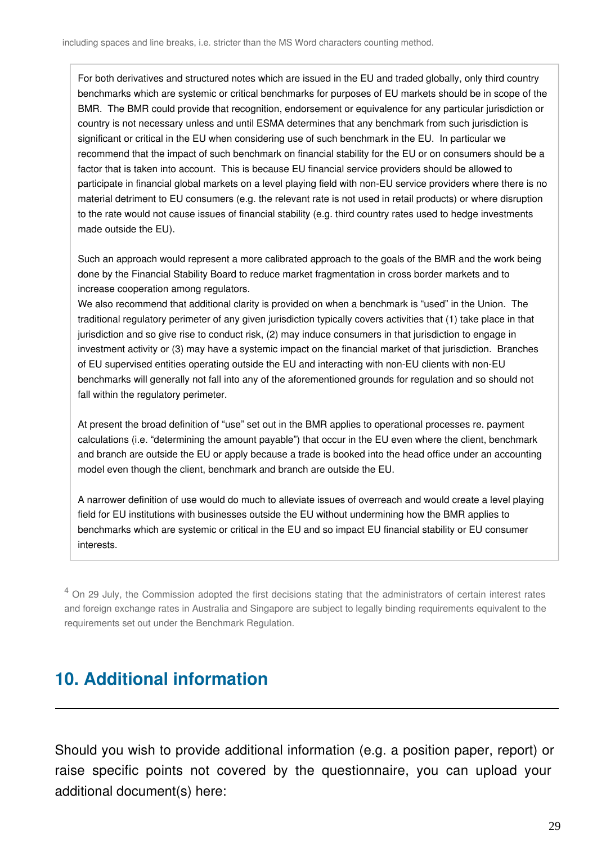For both derivatives and structured notes which are issued in the EU and traded globally, only third country benchmarks which are systemic or critical benchmarks for purposes of EU markets should be in scope of the BMR. The BMR could provide that recognition, endorsement or equivalence for any particular jurisdiction or country is not necessary unless and until ESMA determines that any benchmark from such jurisdiction is significant or critical in the EU when considering use of such benchmark in the EU. In particular we recommend that the impact of such benchmark on financial stability for the EU or on consumers should be a factor that is taken into account. This is because EU financial service providers should be allowed to participate in financial global markets on a level playing field with non-EU service providers where there is no material detriment to EU consumers (e.g. the relevant rate is not used in retail products) or where disruption to the rate would not cause issues of financial stability (e.g. third country rates used to hedge investments made outside the EU).

Such an approach would represent a more calibrated approach to the goals of the BMR and the work being done by the Financial Stability Board to reduce market fragmentation in cross border markets and to increase cooperation among regulators.

We also recommend that additional clarity is provided on when a benchmark is "used" in the Union. The traditional regulatory perimeter of any given jurisdiction typically covers activities that (1) take place in that jurisdiction and so give rise to conduct risk, (2) may induce consumers in that jurisdiction to engage in investment activity or (3) may have a systemic impact on the financial market of that jurisdiction. Branches of EU supervised entities operating outside the EU and interacting with non-EU clients with non-EU benchmarks will generally not fall into any of the aforementioned grounds for regulation and so should not fall within the regulatory perimeter.

At present the broad definition of "use" set out in the BMR applies to operational processes re. payment calculations (i.e. "determining the amount payable") that occur in the EU even where the client, benchmark and branch are outside the EU or apply because a trade is booked into the head office under an accounting model even though the client, benchmark and branch are outside the EU.

A narrower definition of use would do much to alleviate issues of overreach and would create a level playing field for EU institutions with businesses outside the EU without undermining how the BMR applies to benchmarks which are systemic or critical in the EU and so impact EU financial stability or EU consumer interests.

<span id="page-28-0"></span><sup>4</sup> On 29 July, the Commission adopted the first decisions stating that the administrators of certain interest rates and foreign exchange rates in Australia and Singapore are subject to legally binding requirements equivalent to the requirements set out under the Benchmark Regulation.

# **10. Additional information**

Should you wish to provide additional information (e.g. a position paper, report) or raise specific points not covered by the questionnaire, you can upload your additional document(s) here: